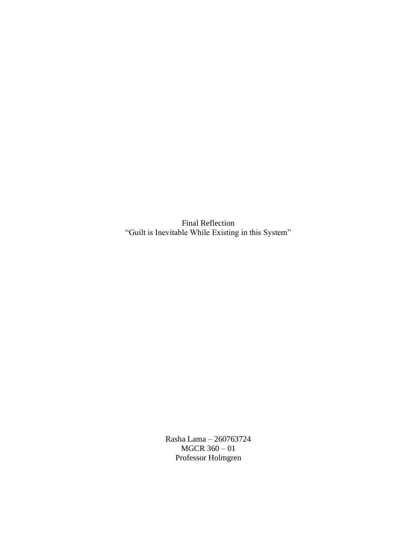Final Reflection "Guilt is Inevitable While Existing in this System"

> Rasha Lama – 260763724 MGCR 360 – 01 Professor Holmgren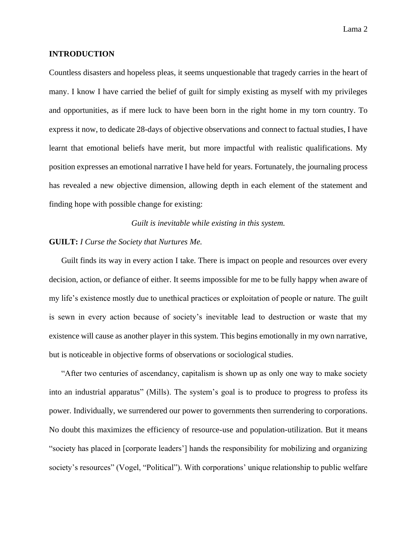### **INTRODUCTION**

Countless disasters and hopeless pleas, it seems unquestionable that tragedy carries in the heart of many. I know I have carried the belief of guilt for simply existing as myself with my privileges and opportunities, as if mere luck to have been born in the right home in my torn country. To express it now, to dedicate 28-days of objective observations and connect to factual studies, I have learnt that emotional beliefs have merit, but more impactful with realistic qualifications. My position expresses an emotional narrative I have held for years. Fortunately, the journaling process has revealed a new objective dimension, allowing depth in each element of the statement and finding hope with possible change for existing:

*Guilt is inevitable while existing in this system.*

#### **GUILT:** *I Curse the Society that Nurtures Me.*

Guilt finds its way in every action I take. There is impact on people and resources over every decision, action, or defiance of either. It seems impossible for me to be fully happy when aware of my life's existence mostly due to unethical practices or exploitation of people or nature. The guilt is sewn in every action because of society's inevitable lead to destruction or waste that my existence will cause as another player in this system. This begins emotionally in my own narrative, but is noticeable in objective forms of observations or sociological studies.

"After two centuries of ascendancy, capitalism is shown up as only one way to make society into an industrial apparatus" (Mills). The system's goal is to produce to progress to profess its power. Individually, we surrendered our power to governments then surrendering to corporations. No doubt this maximizes the efficiency of resource-use and population-utilization. But it means "society has placed in [corporate leaders'] hands the responsibility for mobilizing and organizing society's resources" (Vogel, "Political"). With corporations' unique relationship to public welfare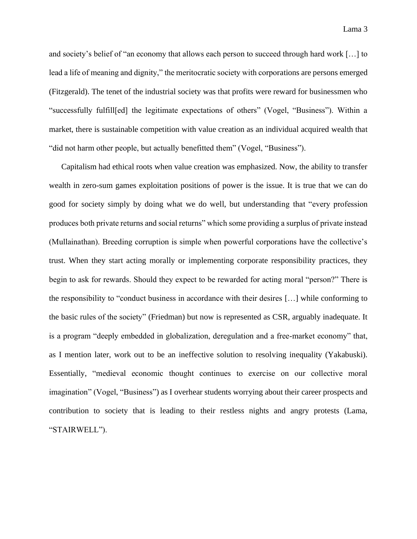and society's belief of "an economy that allows each person to succeed through hard work […] to lead a life of meaning and dignity," the meritocratic society with corporations are persons emerged (Fitzgerald). The tenet of the industrial society was that profits were reward for businessmen who "successfully fulfill[ed] the legitimate expectations of others" (Vogel, "Business"). Within a market, there is sustainable competition with value creation as an individual acquired wealth that "did not harm other people, but actually benefitted them" (Vogel, "Business").

Capitalism had ethical roots when value creation was emphasized. Now, the ability to transfer wealth in zero-sum games exploitation positions of power is the issue. It is true that we can do good for society simply by doing what we do well, but understanding that "every profession produces both private returns and social returns" which some providing a surplus of private instead (Mullainathan). Breeding corruption is simple when powerful corporations have the collective's trust. When they start acting morally or implementing corporate responsibility practices, they begin to ask for rewards. Should they expect to be rewarded for acting moral "person?" There is the responsibility to "conduct business in accordance with their desires […] while conforming to the basic rules of the society" (Friedman) but now is represented as CSR, arguably inadequate. It is a program "deeply embedded in globalization, deregulation and a free-market economy" that, as I mention later, work out to be an ineffective solution to resolving inequality (Yakabuski). Essentially, "medieval economic thought continues to exercise on our collective moral imagination" (Vogel, "Business") as I overhear students worrying about their career prospects and contribution to society that is leading to their restless nights and angry protests (Lama, "STAIRWELL").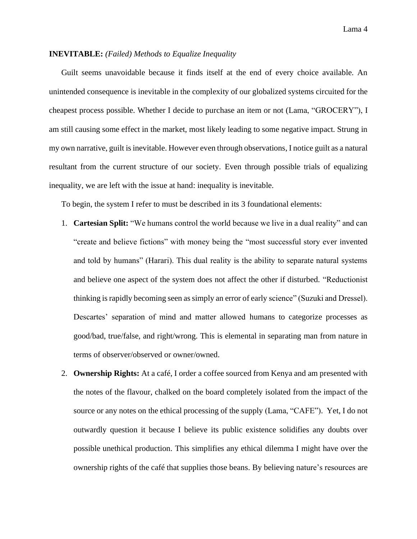## **INEVITABLE:** *(Failed) Methods to Equalize Inequality*

Guilt seems unavoidable because it finds itself at the end of every choice available. An unintended consequence is inevitable in the complexity of our globalized systems circuited for the cheapest process possible. Whether I decide to purchase an item or not (Lama, "GROCERY"), I am still causing some effect in the market, most likely leading to some negative impact. Strung in my own narrative, guilt is inevitable. However even through observations, I notice guilt as a natural resultant from the current structure of our society. Even through possible trials of equalizing inequality, we are left with the issue at hand: inequality is inevitable.

To begin, the system I refer to must be described in its 3 foundational elements:

- 1. **Cartesian Split:** "We humans control the world because we live in a dual reality" and can "create and believe fictions" with money being the "most successful story ever invented and told by humans" (Harari). This dual reality is the ability to separate natural systems and believe one aspect of the system does not affect the other if disturbed. "Reductionist thinking is rapidly becoming seen as simply an error of early science" (Suzuki and Dressel). Descartes' separation of mind and matter allowed humans to categorize processes as good/bad, true/false, and right/wrong. This is elemental in separating man from nature in terms of observer/observed or owner/owned.
- 2. **Ownership Rights:** At a café, I order a coffee sourced from Kenya and am presented with the notes of the flavour, chalked on the board completely isolated from the impact of the source or any notes on the ethical processing of the supply (Lama, "CAFE"). Yet, I do not outwardly question it because I believe its public existence solidifies any doubts over possible unethical production. This simplifies any ethical dilemma I might have over the ownership rights of the café that supplies those beans. By believing nature's resources are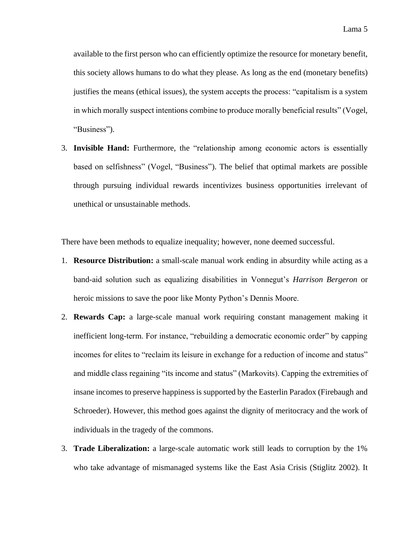available to the first person who can efficiently optimize the resource for monetary benefit, this society allows humans to do what they please. As long as the end (monetary benefits) justifies the means (ethical issues), the system accepts the process: "capitalism is a system in which morally suspect intentions combine to produce morally beneficial results" (Vogel, "Business").

3. **Invisible Hand:** Furthermore, the "relationship among economic actors is essentially based on selfishness" (Vogel, "Business"). The belief that optimal markets are possible through pursuing individual rewards incentivizes business opportunities irrelevant of unethical or unsustainable methods.

There have been methods to equalize inequality; however, none deemed successful.

- 1. **Resource Distribution:** a small-scale manual work ending in absurdity while acting as a band-aid solution such as equalizing disabilities in Vonnegut's *Harrison Bergeron* or heroic missions to save the poor like Monty Python's Dennis Moore.
- 2. **Rewards Cap:** a large-scale manual work requiring constant management making it inefficient long-term. For instance, "rebuilding a democratic economic order" by capping incomes for elites to "reclaim its leisure in exchange for a reduction of income and status" and middle class regaining "its income and status" (Markovits). Capping the extremities of insane incomes to preserve happiness is supported by the Easterlin Paradox (Firebaugh and Schroeder). However, this method goes against the dignity of meritocracy and the work of individuals in the tragedy of the commons.
- 3. **Trade Liberalization:** a large-scale automatic work still leads to corruption by the 1% who take advantage of mismanaged systems like the East Asia Crisis (Stiglitz 2002). It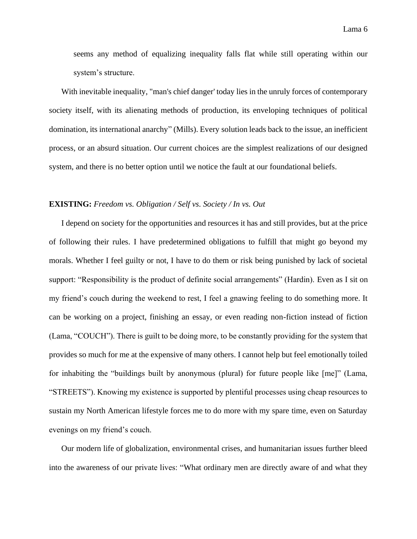seems any method of equalizing inequality falls flat while still operating within our system's structure.

With inevitable inequality, "man's chief danger' today lies in the unruly forces of contemporary society itself, with its alienating methods of production, its enveloping techniques of political domination, its international anarchy" (Mills). Every solution leads back to the issue, an inefficient process, or an absurd situation. Our current choices are the simplest realizations of our designed system, and there is no better option until we notice the fault at our foundational beliefs.

#### **EXISTING:** *Freedom vs. Obligation / Self vs. Society / In vs. Out*

I depend on society for the opportunities and resources it has and still provides, but at the price of following their rules. I have predetermined obligations to fulfill that might go beyond my morals. Whether I feel guilty or not, I have to do them or risk being punished by lack of societal support: "Responsibility is the product of definite social arrangements" (Hardin). Even as I sit on my friend's couch during the weekend to rest, I feel a gnawing feeling to do something more. It can be working on a project, finishing an essay, or even reading non-fiction instead of fiction (Lama, "COUCH"). There is guilt to be doing more, to be constantly providing for the system that provides so much for me at the expensive of many others. I cannot help but feel emotionally toiled for inhabiting the "buildings built by anonymous (plural) for future people like [me]" (Lama, "STREETS"). Knowing my existence is supported by plentiful processes using cheap resources to sustain my North American lifestyle forces me to do more with my spare time, even on Saturday evenings on my friend's couch.

Our modern life of globalization, environmental crises, and humanitarian issues further bleed into the awareness of our private lives: "What ordinary men are directly aware of and what they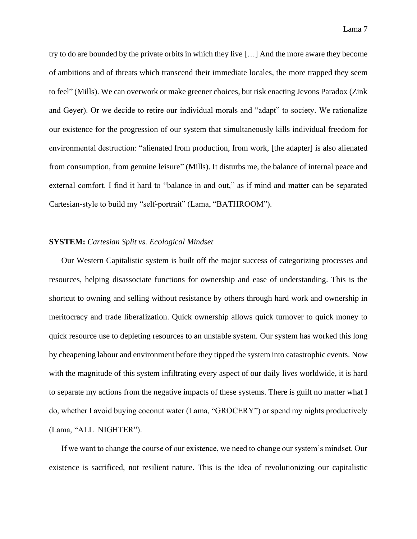try to do are bounded by the private orbits in which they live […] And the more aware they become of ambitions and of threats which transcend their immediate locales, the more trapped they seem to feel" (Mills). We can overwork or make greener choices, but risk enacting Jevons Paradox (Zink and Geyer). Or we decide to retire our individual morals and "adapt" to society. We rationalize our existence for the progression of our system that simultaneously kills individual freedom for environmental destruction: "alienated from production, from work, [the adapter] is also alienated from consumption, from genuine leisure" (Mills). It disturbs me, the balance of internal peace and external comfort. I find it hard to "balance in and out," as if mind and matter can be separated Cartesian-style to build my "self-portrait" (Lama, "BATHROOM").

### **SYSTEM:** *Cartesian Split vs. Ecological Mindset*

Our Western Capitalistic system is built off the major success of categorizing processes and resources, helping disassociate functions for ownership and ease of understanding. This is the shortcut to owning and selling without resistance by others through hard work and ownership in meritocracy and trade liberalization. Quick ownership allows quick turnover to quick money to quick resource use to depleting resources to an unstable system. Our system has worked this long by cheapening labour and environment before they tipped the system into catastrophic events. Now with the magnitude of this system infiltrating every aspect of our daily lives worldwide, it is hard to separate my actions from the negative impacts of these systems. There is guilt no matter what I do, whether I avoid buying coconut water (Lama, "GROCERY") or spend my nights productively (Lama, "ALL\_NIGHTER").

If we want to change the course of our existence, we need to change our system's mindset. Our existence is sacrificed, not resilient nature. This is the idea of revolutionizing our capitalistic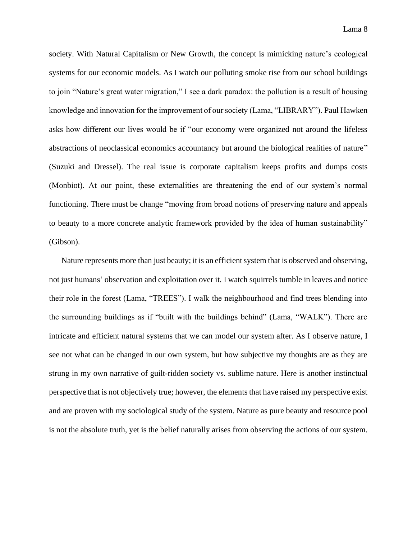society. With Natural Capitalism or New Growth, the concept is mimicking nature's ecological systems for our economic models. As I watch our polluting smoke rise from our school buildings to join "Nature's great water migration," I see a dark paradox: the pollution is a result of housing knowledge and innovation for the improvement of our society (Lama, "LIBRARY"). Paul Hawken asks how different our lives would be if "our economy were organized not around the lifeless abstractions of neoclassical economics accountancy but around the biological realities of nature" (Suzuki and Dressel). The real issue is corporate capitalism keeps profits and dumps costs (Monbiot). At our point, these externalities are threatening the end of our system's normal functioning. There must be change "moving from broad notions of preserving nature and appeals to beauty to a more concrete analytic framework provided by the idea of human sustainability" (Gibson).

Nature represents more than just beauty; it is an efficient system that is observed and observing, not just humans' observation and exploitation over it. I watch squirrels tumble in leaves and notice their role in the forest (Lama, "TREES"). I walk the neighbourhood and find trees blending into the surrounding buildings as if "built with the buildings behind" (Lama, "WALK"). There are intricate and efficient natural systems that we can model our system after. As I observe nature, I see not what can be changed in our own system, but how subjective my thoughts are as they are strung in my own narrative of guilt-ridden society vs. sublime nature. Here is another instinctual perspective that is not objectively true; however, the elements that have raised my perspective exist and are proven with my sociological study of the system. Nature as pure beauty and resource pool is not the absolute truth, yet is the belief naturally arises from observing the actions of our system.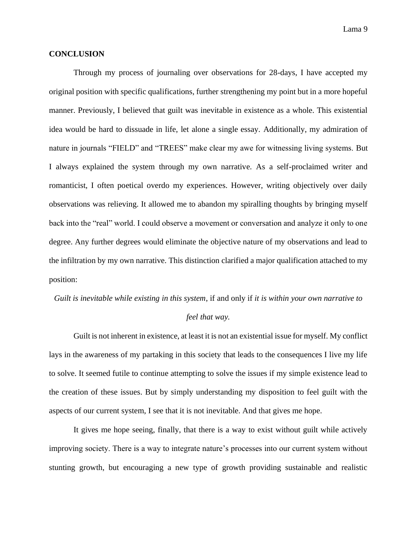### **CONCLUSION**

Through my process of journaling over observations for 28-days, I have accepted my original position with specific qualifications, further strengthening my point but in a more hopeful manner. Previously, I believed that guilt was inevitable in existence as a whole. This existential idea would be hard to dissuade in life, let alone a single essay. Additionally, my admiration of nature in journals "FIELD" and "TREES" make clear my awe for witnessing living systems. But I always explained the system through my own narrative. As a self-proclaimed writer and romanticist, I often poetical overdo my experiences. However, writing objectively over daily observations was relieving. It allowed me to abandon my spiralling thoughts by bringing myself back into the "real" world. I could observe a movement or conversation and analyze it only to one degree. Any further degrees would eliminate the objective nature of my observations and lead to the infiltration by my own narrative. This distinction clarified a major qualification attached to my position:

# *Guilt is inevitable while existing in this system*, if and only if *it is within your own narrative to feel that way.*

Guilt is not inherent in existence, at least it is not an existential issue for myself. My conflict lays in the awareness of my partaking in this society that leads to the consequences I live my life to solve. It seemed futile to continue attempting to solve the issues if my simple existence lead to the creation of these issues. But by simply understanding my disposition to feel guilt with the aspects of our current system, I see that it is not inevitable. And that gives me hope.

It gives me hope seeing, finally, that there is a way to exist without guilt while actively improving society. There is a way to integrate nature's processes into our current system without stunting growth, but encouraging a new type of growth providing sustainable and realistic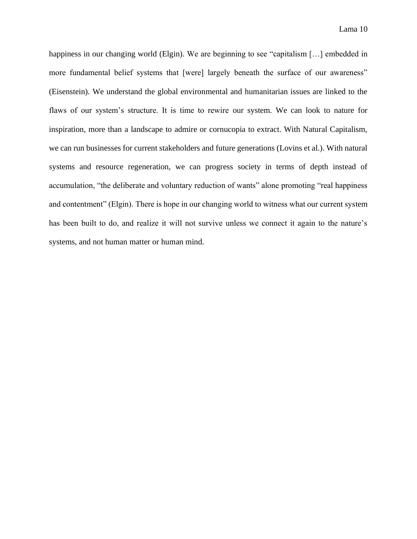happiness in our changing world (Elgin). We are beginning to see "capitalism [...] embedded in more fundamental belief systems that [were] largely beneath the surface of our awareness" (Eisenstein). We understand the global environmental and humanitarian issues are linked to the flaws of our system's structure. It is time to rewire our system. We can look to nature for inspiration, more than a landscape to admire or cornucopia to extract. With Natural Capitalism, we can run businesses for current stakeholders and future generations (Lovins et al.). With natural systems and resource regeneration, we can progress society in terms of depth instead of accumulation, "the deliberate and voluntary reduction of wants" alone promoting "real happiness and contentment" (Elgin). There is hope in our changing world to witness what our current system has been built to do, and realize it will not survive unless we connect it again to the nature's systems, and not human matter or human mind.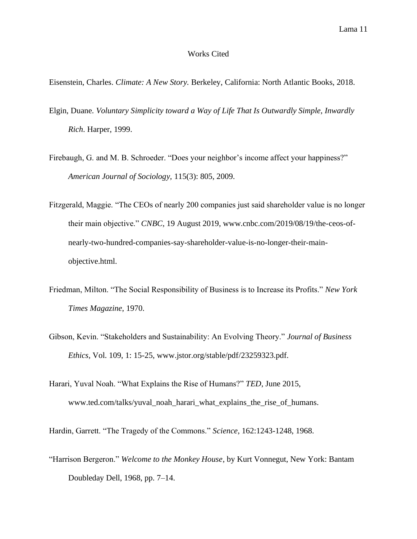#### Works Cited

Eisenstein, Charles. *Climate: A New Story.* Berkeley, California: North Atlantic Books, 2018.

- Elgin, Duane. *Voluntary Simplicity toward a Way of Life That Is Outwardly Simple, Inwardly Rich*. Harper, 1999.
- Firebaugh, G. and M. B. Schroeder. "Does your neighbor's income affect your happiness?" *American Journal of Sociology,* 115(3): 805, 2009.
- Fitzgerald, Maggie. "The CEOs of nearly 200 companies just said shareholder value is no longer their main objective." *CNBC,* 19 August 2019, www.cnbc.com/2019/08/19/the-ceos-ofnearly-two-hundred-companies-say-shareholder-value-is-no-longer-their-mainobjective.html.
- Friedman, Milton. "The Social Responsibility of Business is to Increase its Profits." *New York Times Magazine*, 1970.
- Gibson, Kevin. "Stakeholders and Sustainability: An Evolving Theory." *Journal of Business Ethics,* Vol. 109, 1: 15-25, www.jstor.org/stable/pdf/23259323.pdf.
- Harari, Yuval Noah. "What Explains the Rise of Humans?" *TED*, June 2015, www.ted.com/talks/yuval\_noah\_harari\_what\_explains\_the\_rise\_of\_humans.

Hardin, Garrett. "The Tragedy of the Commons." *Science*, 162:1243-1248, 1968.

"Harrison Bergeron." *Welcome to the Monkey House*, by Kurt Vonnegut, New York: Bantam Doubleday Dell, 1968, pp. 7–14.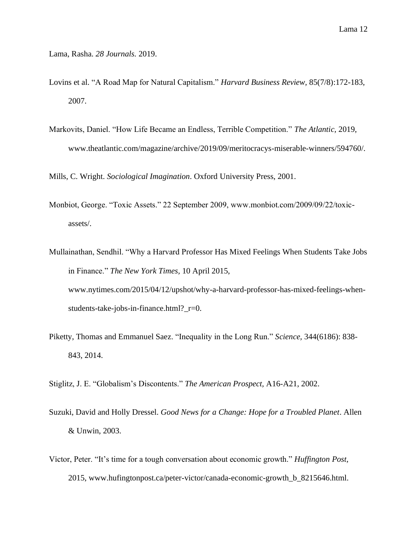- Lama, Rasha. *28 Journals.* 2019.
- Lovins et al. "A Road Map for Natural Capitalism." *Harvard Business Review,* 85(7/8):172-183, 2007.
- Markovits, Daniel. "How Life Became an Endless, Terrible Competition." *The Atlantic,* 2019, www.theatlantic.com/magazine/archive/2019/09/meritocracys-miserable-winners/594760/.

Mills, C. Wright. *Sociological Imagination*. Oxford University Press, 2001.

- Monbiot, George. "Toxic Assets." 22 September 2009, www.monbiot.com/2009/09/22/toxicassets/.
- Mullainathan, Sendhil. "Why a Harvard Professor Has Mixed Feelings When Students Take Jobs in Finance." *The New York Times,* 10 April 2015, www.nytimes.com/2015/04/12/upshot/why-a-harvard-professor-has-mixed-feelings-whenstudents-take-jobs-in-finance.html?\_r=0.
- Piketty, Thomas and Emmanuel Saez. "Inequality in the Long Run." *Science,* 344(6186): 838- 843, 2014.

Stiglitz, J. E. "Globalism's Discontents." *The American Prospect,* A16-A21, 2002.

- Suzuki, David and Holly Dressel. *Good News for a Change: Hope for a Troubled Planet*. Allen & Unwin, 2003.
- Victor, Peter. "It's time for a tough conversation about economic growth." *Huffington Post,* 2015, www.hufingtonpost.ca/peter-victor/canada-economic-growth\_b\_8215646.html.